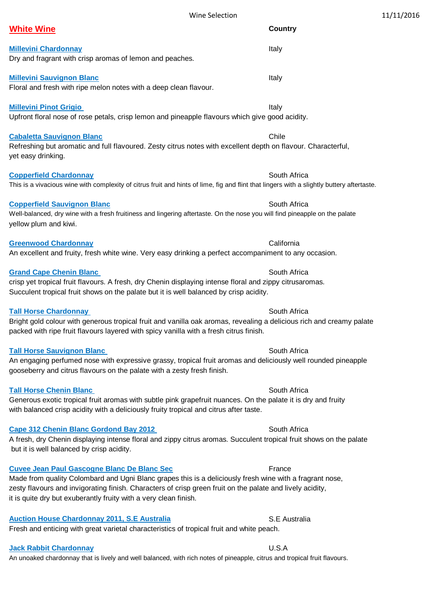| <b>Millevini Chardonnay</b><br>Dry and fragrant with crisp aromas of lemon and peaches.                                                                                                                                                        | Italy        |
|------------------------------------------------------------------------------------------------------------------------------------------------------------------------------------------------------------------------------------------------|--------------|
| <b>Millevini Sauvignon Blanc</b><br>Floral and fresh with ripe melon notes with a deep clean flavour.                                                                                                                                          | Italy        |
| <b>Millevini Pinot Grigio</b><br>Upfront floral nose of rose petals, crisp lemon and pineapple flavours which give good acidity.                                                                                                               | Italy        |
| <b>Cabaletta Sauvignon Blanc</b><br>Refreshing but aromatic and full flavoured. Zesty citrus notes with excellent depth on flavour. Characterful,<br>yet easy drinking.                                                                        | Chile        |
| <b>Copperfield Chardonnay</b><br>This is a vivacious wine with complexity of citrus fruit and hints of lime, fig and flint that lingers with a slightly buttery aftertaste.                                                                    | South Africa |
| <b>Copperfield Sauvignon Blanc</b><br>Well-balanced, dry wine with a fresh fruitiness and lingering aftertaste. On the nose you will find pineapple on the palate<br>yellow plum and kiwi.                                                     | South Africa |
| <b>Greenwood Chardonnay</b><br>An excellent and fruity, fresh white wine. Very easy drinking a perfect accompaniment to any occasion.                                                                                                          | California   |
| <b>Grand Cape Chenin Blanc</b><br>crisp yet tropical fruit flavours. A fresh, dry Chenin displaying intense floral and zippy citrusaromas.<br>Succulent tropical fruit shows on the palate but it is well balanced by crisp acidity.           | South Africa |
| <b>Tall Horse Chardonnay</b><br>Bright gold colour with generous tropical fruit and vanilla oak aromas, revealing a delicious rich and creamy palate<br>packed with ripe fruit flavours layered with spicy vanilla with a fresh citrus finish. | South Africa |

**Tall Horse Sauvignon Blanc**  South Africa **South Africa South Africa South Africa** 

An engaging perfumed nose with expressive grassy, tropical fruit aromas and deliciously well rounded pineapple gooseberry and citrus flavours on the palate with a zesty fresh finish.

#### **Tall Horse Chenin Blanc** South Africa **South Africa South Africa South Africa**

# Generous exotic tropical fruit aromas with subtle pink grapefruit nuances. On the palate it is dry and fruity with balanced crisp acidity with a deliciously fruity tropical and citrus after taste.

## **Cape 312 Chenin Blanc Gordond Bay 2012 South Africa South Africa**

A fresh, dry Chenin displaying intense floral and zippy citrus aromas. Succulent tropical fruit shows on the palate but it is well balanced by crisp acidity.

## **Cuvee Jean Paul Gascogne Blanc De Blanc Sec France France**

# Made from quality Colombard and Ugni Blanc grapes this is a deliciously fresh wine with a fragrant nose, zesty flavours and invigorating finish. Characters of crisp green fruit on the palate and lively acidity, it is quite dry but exuberantly fruity with a very clean finish.

# **Auction House Chardonnay 2011, S.E Australia** S.E Australia

Fresh and enticing with great varietal characteristics of tropical fruit and white peach.

# **Jack Rabbit Chardonnay** U.S.A

An unoaked chardonnay that is lively and well balanced, with rich notes of pineapple, citrus and tropical fruit flavours.

Wine Selection 11/11/2016

**White Wine Country**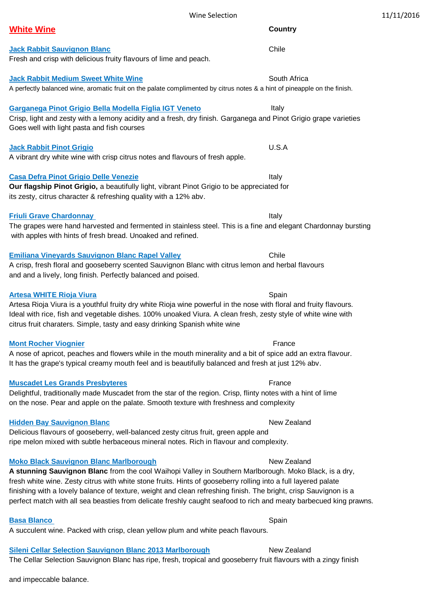| leni Cellar Selection Sauvignon Blar  |  |
|---------------------------------------|--|
| e Cellar Selection Sauvignon Blanc ha |  |

#### Wine Selection 2012 2016

# **White Wine Country**

**Jack Rabbit Sauvignon Blanc** Chile Chile Chile Chile Chile Chile Chile Chile Chile Chile Chile Chile Chile Chile Chile Chile Chile Chile Chile Chile Chile Chile Chile Chile Chile Chile Chile Chile Chile Chile Chile Chile

**Jack Rabbit Medium Sweet White Wine** Scott Charles and South Africa A perfectly balanced wine, aromatic fruit on the palate complimented by citrus notes & a hint of pineapple on the finish.

**Garganega Pinot Grigio Bella Modella Figlia IGT Veneto** Italy

Fresh and crisp with delicious fruity flavours of lime and peach.

Crisp, light and zesty with a lemony acidity and a fresh, dry finish. Garganega and Pinot Grigio grape varieties Goes well with light pasta and fish courses

### **Jack Rabbit Pinot Grigio** U.S.A

# A vibrant dry white wine with crisp citrus notes and flavours of fresh apple.

# **Casa Defra Pinot Grigio Delle Venezie Italy and Casa Defra Pinot Grigio Delle Venezie Italy and Casa Defra Pinot Casa Defra Pinot Casa Defra Pinot Casa Defra Pinot Casa Defra Pinot Casa Defra Pinot Casa Defra Pinot Casa D**

### **Our flagship Pinot Grigio,** a beautifully light, vibrant Pinot Grigio to be appreciated for its zesty, citrus character & refreshing quality with a 12% abv.

# **Friuli Grave Chardonnay Italy**

# The grapes were hand harvested and fermented in stainless steel. This is a fine and elegant Chardonnay bursting with apples with hints of fresh bread. Unoaked and refined.

# **Emiliana Vineyards Sauvignon Blanc Rapel Valley Chile Chile Chile**

# A crisp, fresh floral and gooseberry scented Sauvignon Blanc with citrus lemon and herbal flavours and and a lively, long finish. Perfectly balanced and poised.

# **Artesa WHITE Rioja Viura** New York New York New York New York New York New York New York New York New York New York New York New York New York New York New York New York New York New York New York New York New York New Yo

## Artesa Rioja Viura is a youthful fruity dry white Rioja wine powerful in the nose with floral and fruity flavours. Ideal with rice, fish and vegetable dishes. 100% unoaked Viura. A clean fresh, zesty style of white wine with citrus fruit charaters. Simple, tasty and easy drinking Spanish white wine

# **Mont Rocher Viognier France France France France France France France**

A nose of apricot, peaches and flowers while in the mouth minerality and a bit of spice add an extra flavour. It has the grape's typical creamy mouth feel and is beautifully balanced and fresh at just 12% abv.

# **Muscadet Les Grands Presbyteres** France

Delightful, traditionally made Muscadet from the star of the region. Crisp, flinty notes with a hint of lime on the nose. Pear and apple on the palate. Smooth texture with freshness and complexity

# **Hidden Bay Sauvignon Blanc** New Zealand New Zealand

Delicious flavours of gooseberry, well-balanced zesty citrus fruit, green apple and ripe melon mixed with subtle herbaceous mineral notes. Rich in flavour and complexity.

#### **Moko Black Sauvignon Blanc Marlborough New Zealand New Zealand A stunning Sauvignon Blanc** from the cool Waihopi Valley in Southern Marlborough. Moko Black, is a dry,

# fresh white wine. Zesty citrus with white stone fruits. Hints of gooseberry rolling into a full layered palate

# finishing with a lovely balance of texture, weight and clean refreshing finish. The bright, crisp Sauvignon is a perfect match with all sea beasties from delicate freshly caught seafood to rich and meaty barbecued king prawns.

# **Basa Blanco** Spain

A succulent wine. Packed with crisp, clean yellow plum and white peach flavours.

# **Sileni Cellar Selection Sauvignon Blanc 2013 Marlborough Mew Zealand**

The Cellar Selection Sauvignon Blanc has ripe, fresh, tropical and gooseberry fruit flavours with a zingy finish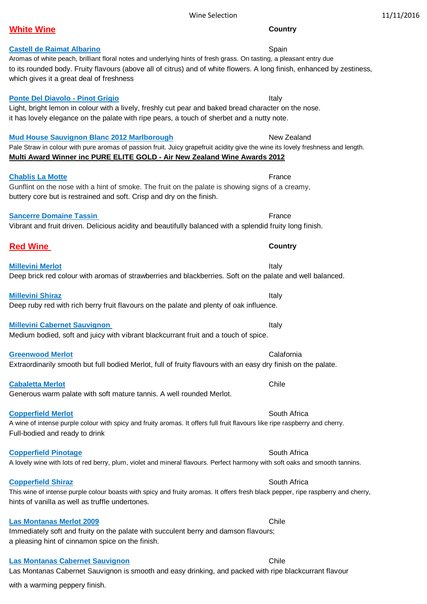| 11/11/2016 |  |  |
|------------|--|--|
|------------|--|--|

#### Wine Selection

## Aromas of white peach, brilliant floral notes and underlying hints of fresh grass. On tasting, a pleasant entry due

to its rounded body. Fruity flavours (above all of citrus) and of white flowers. A long finish, enhanced by zestiness, which gives it a great deal of freshness

# **Ponte Del Diavolo - Pinot Grigio Italy 1999 Italy** Italy

Light, bright lemon in colour with a lively, freshly cut pear and baked bread character on the nose. it has lovely elegance on the palate with ripe pears, a touch of sherbet and a nutty note.

# **Mud House Sauvignon Blanc 2012 Marlborough** New Zealand

Pale Straw in colour with pure aromas of passion fruit. Juicy grapefruit acidity give the wine its lovely freshness and length. **Multi Award Winner inc PURE ELITE GOLD - Air New Zealand Wine Awards 2012**

# **Chablis La Motte France France France France France France France France**

Gunflint on the nose with a hint of smoke. The fruit on the palate is showing signs of a creamy, buttery core but is restrained and soft. Crisp and dry on the finish.

# **Sancerre Domaine Tassin** *France* **France France France France France France**

# Vibrant and fruit driven. Delicious acidity and beautifully balanced with a splendid fruity long finish.

# **Red Wine Country**

**Millevini Merlot Italy** Deep brick red colour with aromas of strawberries and blackberries. Soft on the palate and well balanced.

## **Millevini Shiraz** Italy and the control of the control of the control of the control of the control of the control of the control of the control of the control of the control of the control of the control of the control o

# Deep ruby red with rich berry fruit flavours on the palate and plenty of oak influence.

**Millevini Cabernet Sauvignon and American and American State Italy** Medium bodied, soft and juicy with vibrant blackcurrant fruit and a touch of spice.

**Greenwood Merlot** Calafornia

Extraordinarily smooth but full bodied Merlot, full of fruity flavours with an easy dry finish on the palate.

**Cabaletta Merlot** Chile Chile Chile Chile Chile Chile Chile Chile Chile Chile Chile Chile Chile Chile Chile Chile Chile Chile Chile Chile Chile Chile Chile Chile Chile Chile Chile Chile Chile Chile Chile Chile Chile Chile Generous warm palate with soft mature tannis. A well rounded Merlot.

# **Copperfield Merlot** South Africa South Africa South Africa South Africa South Africa

A wine of intense purple colour with spicy and fruity aromas. It offers full fruit flavours like ripe raspberry and cherry. Full-bodied and ready to drink

**Copperfield Pinotage South Africa** South Africa

# This wine of intense purple colour boasts with spicy and fruity aromas. It offers fresh black pepper, ripe raspberry and cherry, hints of vanilla as well as truffle undertones.

# **Las Montanas Merlot 2009** Chile Chile Chile Chile Chile Chile Chile Chile Chile Chile Chile Chile Chile Chile Chile Chile Chile Chile Chile Chile Chile Chile Chile Chile Chile Chile Chile Chile Chile Chile Chile Chile Chi

Immediately soft and fruity on the palate with succulent berry and damson flavours; a pleasing hint of cinnamon spice on the finish.

# **Las Montanas Cabernet Sauvignon** Chile

Las Montanas Cabernet Sauvignon is smooth and easy drinking, and packed with ripe blackcurrant flavour

with a warming peppery finish.

# **Castell de Raimat Albarino** Spain

A lovely wine with lots of red berry, plum, violet and mineral flavours. Perfect harmony with soft oaks and smooth tannins.

**Copperfield Shiraz** South Africa

**White Wine Country**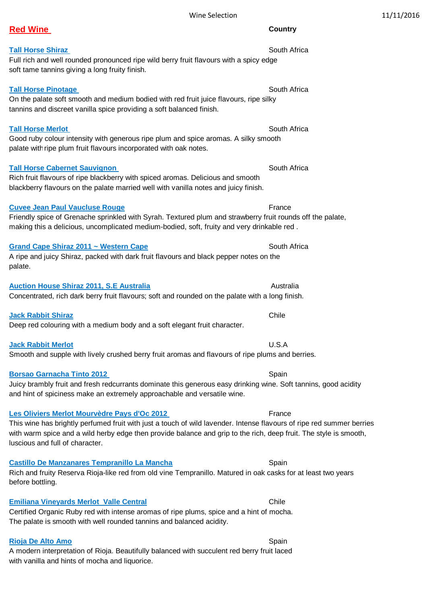Wine Selection 2012 2016

## **Red Wine Country**

### **Tall Horse Shiraz** South Africa **South Africa South Africa South Africa South Africa**

#### Full rich and well rounded pronounced ripe wild berry fruit flavours with a spicy edge soft tame tannins giving a long fruity finish.

#### **Tall Horse Pinotage** South Africa

### On the palate soft smooth and medium bodied with red fruit juice flavours, ripe silky

tannins and discreet vanilla spice providing a soft balanced finish.

#### **Tall Horse Merlot South Africa South Africa South Africa South Africa**

Good ruby colour intensity with generous ripe plum and spice aromas. A silky smooth palate with ripe plum fruit flavours incorporated with oak notes.

#### **Tall Horse Cabernet Sauvignon** South Africa

Rich fruit flavours of ripe blackberry with spiced aromas. Delicious and smooth blackberry flavours on the palate married well with vanilla notes and juicy finish.

### **Cuvee Jean Paul Vaucluse Rouge France France France France**

### Friendly spice of Grenache sprinkled with Syrah. Textured plum and strawberry fruit rounds off the palate, making this a delicious, uncomplicated medium-bodied, soft, fruity and very drinkable red .

#### **Grand Cape Shiraz 2011 ~ Western Cape <b>South Africa** South Africa

# A ripe and juicy Shiraz, packed with dark fruit flavours and black pepper notes on the palate.

#### **Auction House Shiraz 2011, S.E Australia Australia** Australia

# Concentrated, rich dark berry fruit flavours; soft and rounded on the palate with a long finish.

### **Jack Rabbit Shiraz Chile Albert Shiraz Chile Albert Shiraz Chile Albert Shiraz Chile Albert Shiraz Chile Albert Shiraz Chile Albert Shiraz Chile Albert Shiraz Chile Albert Shiraz Chile Albert Shiraz Chile Albert Shiraz Ch**

## Deep red colouring with a medium body and a soft elegant fruit character.

### **Jack Rabbit Merlot** U.S.A

## Smooth and supple with lively crushed berry fruit aromas and flavours of ripe plums and berries.

### **Borsao Garnacha Tinto 2012 Spain Access 19th Contract Contract Access 19th Contract Access 19th Contract Access 19th Contract Access 19th Contract Access 19th Contract Access 19th Contract Access 19th Contract Access 19**

### Juicy brambly fruit and fresh redcurrants dominate this generous easy drinking wine. Soft tannins, good acidity and hint of spiciness make an extremely approachable and versatile wine.

## **Les Oliviers Merlot Mourvèdre Pays d'Oc 2012** France

This wine has brightly perfumed fruit with just a touch of wild lavender. Intense flavours of ripe red summer berries with warm spice and a wild herby edge then provide balance and grip to the rich, deep fruit. The style is smooth, luscious and full of character.

### **Castillo De Manzanares Tempranillo La Mancha** Spain

# Rich and fruity Reserva Rioja-like red from old vine Tempranillo. Matured in oak casks for at least two years before bottling.

## **Emiliana Vineyards Merlot Valle Central Chile Chile Chile Chile Chile Chile Chile Chile Chile Chile Chile Chile**

Certified Organic Ruby red with intense aromas of ripe plums, spice and a hint of mocha. The palate is smooth with well rounded tannins and balanced acidity.

# **Rioja De Alto Amo** Spain

# A modern interpretation of Rioja. Beautifully balanced with succulent red berry fruit laced with vanilla and hints of mocha and liquorice.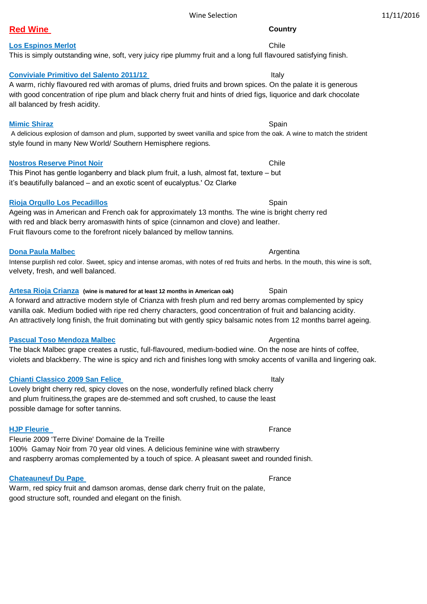#### Wine Selection 2012 2016

### **Red Wine Country**

#### **Los Espinos Merlot** Chile Chile Chile Chile Chile Chile Chile Chile Chile Chile Chile Chile Chile Chile Chile Chile Chile Chile Chile Chile Chile Chile Chile Chile Chile Chile Chile Chile Chile Chile Chile Chile Chile Chi

#### This is simply outstanding wine, soft, very juicy ripe plummy fruit and a long full flavoured satisfying finish.

#### **Conviviale Primitivo del Salento 2011/12** Italy

A warm, richly flavoured red with aromas of plums, dried fruits and brown spices. On the palate it is generous with good concentration of ripe plum and black cherry fruit and hints of dried figs, liquorice and dark chocolate all balanced by fresh acidity.

#### **Mimic Shiraz** Spain

 A delicious explosion of damson and plum, supported by sweet vanilla and spice from the oak. A wine to match the strident style found in many New World/ Southern Hemisphere regions.

#### **Nostros Reserve Pinot Noir** Chile Chile Chile Chile Chile Chile Chile Chile Chile Chile Chile Chile Chile Chile Chile Chile Chile Chile Chile Chile Chile Chile Chile Chile Chile Chile Chile Chile Chile Chile Chile Chile C

This Pinot has gentle loganberry and black plum fruit, a lush, almost fat, texture – but it's beautifully balanced – and an exotic scent of eucalyptus.' Oz Clarke

#### **Rioja Orgullo Los Pecadillos** Spain

Ageing was in American and French oak for approximately 13 months. The wine is bright cherry red with red and black berry aromaswith hints of spice (cinnamon and clove) and leather. Fruit flavours come to the forefront nicely balanced by mellow tannins.

#### **Dona Paula Malbec Argentina Argentina Argentina Argentina Argentina**

Intense purplish red color. Sweet, spicy and intense aromas, with notes of red fruits and herbs. In the mouth, this wine is soft, velvety, fresh, and well balanced.

## **Artesa Rioja Crianza** (wine is matured for at least 12 months in American oak) Spain

#### A forward and attractive modern style of Crianza with fresh plum and red berry aromas complemented by spicy vanilla oak. Medium bodied with ripe red cherry characters, good concentration of fruit and balancing acidity. An attractively long finish, the fruit dominating but with gently spicy balsamic notes from 12 months barrel ageing.

#### **Pascual Toso Mendoza Malbec Argentina** Argentina

The black Malbec grape creates a rustic, full-flavoured, medium-bodied wine. On the nose are hints of coffee, violets and blackberry. The wine is spicy and rich and finishes long with smoky accents of vanilla and lingering oak.

#### **Chianti Classico 2009 San Felice** Italy

# Lovely bright cherry red, spicy cloves on the nose, wonderfully refined black cherry and plum fruitiness,the grapes are de-stemmed and soft crushed, to cause the least possible damage for softer tannins.

#### **HJP Fleurie** France

Fleurie 2009 'Terre Divine' Domaine de la Treille 100% Gamay Noir from 70 year old vines. A delicious feminine wine with strawberry and raspberry aromas complemented by a touch of spice. A pleasant sweet and rounded finish.

#### **Chateauneuf Du Pape <b>France France France France**

Warm, red spicy fruit and damson aromas, dense dark cherry fruit on the palate, good structure soft, rounded and elegant on the finish.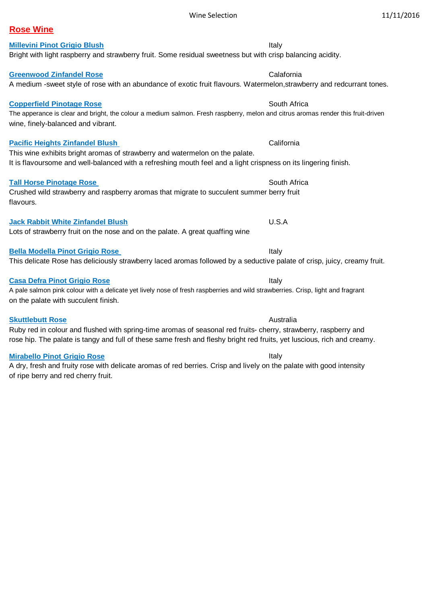#### Wine Selection 11/11/2016

## **Rose Wine**

# **Millevini Pinot Grigio Blush** Italy Italy Italy Italy Italy Italy Italy Italy Italy

#### **Greenwood Zinfandel Rose** Calafornia Calafornia

#### **Copperfield Pinotage Rose** South Africa South Africa

The apperance is clear and bright, the colour a medium salmon. Fresh raspberry, melon and citrus aromas render this fruit-driven wine, finely-balanced and vibrant.

A medium -sweet style of rose with an abundance of exotic fruit flavours. Watermelon,strawberry and redcurrant tones.

#### **Pacific Heights Zinfandel Blush** California

This wine exhibits bright aromas of strawberry and watermelon on the palate. It is flavoursome and well-balanced with a refreshing mouth feel and a light crispness on its lingering finish.

### **Tall Horse Pinotage Rose South Africa South Africa South Africa South Africa**

Crushed wild strawberry and raspberry aromas that migrate to succulent summer berry fruit flavours.

#### **Jack Rabbit White Zinfandel Blush** U.S.A

Lots of strawberry fruit on the nose and on the palate. A great quaffing wine

### **Bella Modella Pinot Grigio Rose** Italy

# **Casa Defra Pinot Grigio Rose Italy 1986 Italy Italy Italy Italy Italy Italy**

A pale salmon pink colour with a delicate yet lively nose of fresh raspberries and wild strawberries. Crisp, light and fragrant on the palate with succulent finish.

This delicate Rose has deliciously strawberry laced aromas followed by a seductive palate of crisp, juicy, creamy fruit.

**Skuttlebutt Rose Australia Australia Australia Australia Australia** Ruby red in colour and flushed with spring-time aromas of seasonal red fruits- cherry, strawberry, raspberry and rose hip. The palate is tangy and full of these same fresh and fleshy bright red fruits, yet luscious, rich and creamy.

#### **Mirabello Pinot Grigio Rose Italy Italy Italy Italy Italy Italy Italy**

A dry, fresh and fruity rose with delicate aromas of red berries. Crisp and lively on the palate with good intensity of ripe berry and red cherry fruit.

Bright with light raspberry and strawberry fruit. Some residual sweetness but with crisp balancing acidity.